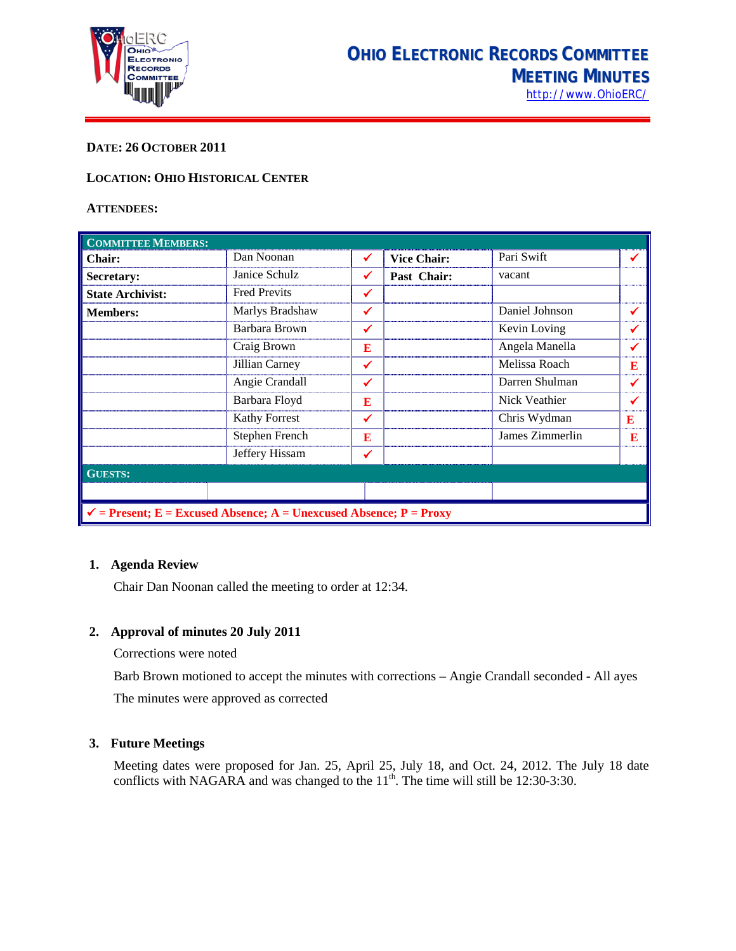

# **DATE: 26 OCTOBER 2011**

## **LOCATION: OHIO HISTORICAL CENTER**

#### **ATTENDEES:**

| <b>COMMITTEE MEMBERS:</b>                                                     |                      |              |                    |                 |   |  |
|-------------------------------------------------------------------------------|----------------------|--------------|--------------------|-----------------|---|--|
| <b>Chair:</b>                                                                 | Dan Noonan           | ✔            | <b>Vice Chair:</b> | Pari Swift      |   |  |
| Secretary:                                                                    | Janice Schulz        | ✔            | Past Chair:        | vacant          |   |  |
| <b>State Archivist:</b>                                                       | <b>Fred Previts</b>  | ✓            |                    |                 |   |  |
| <b>Members:</b>                                                               | Marlys Bradshaw      | $\checkmark$ |                    | Daniel Johnson  |   |  |
|                                                                               | Barbara Brown        | ✓            |                    | Kevin Loving    |   |  |
|                                                                               | Craig Brown          | E            |                    | Angela Manella  |   |  |
|                                                                               | Jillian Carney       | ✓            |                    | Melissa Roach   | E |  |
|                                                                               | Angie Crandall       | ✔            |                    | Darren Shulman  |   |  |
|                                                                               | Barbara Floyd        | E            |                    | Nick Veathier   |   |  |
|                                                                               | <b>Kathy Forrest</b> | ✓            |                    | Chris Wydman    | E |  |
|                                                                               | Stephen French       | E            |                    | James Zimmerlin | E |  |
|                                                                               | Jeffery Hissam       | ✔            |                    |                 |   |  |
| <b>GUESTS:</b>                                                                |                      |              |                    |                 |   |  |
|                                                                               |                      |              |                    |                 |   |  |
| $\checkmark$ = Present; E = Excused Absence; A = Unexcused Absence; P = Proxy |                      |              |                    |                 |   |  |

#### **1. Agenda Review**

Chair Dan Noonan called the meeting to order at 12:34.

## **2. Approval of minutes 20 July 2011**

Corrections were noted

Barb Brown motioned to accept the minutes with corrections – Angie Crandall seconded - All ayes The minutes were approved as corrected

### **3. Future Meetings**

Meeting dates were proposed for Jan. 25, April 25, July 18, and Oct. 24, 2012. The July 18 date conflicts with NAGARA and was changed to the  $11<sup>th</sup>$ . The time will still be 12:30-3:30.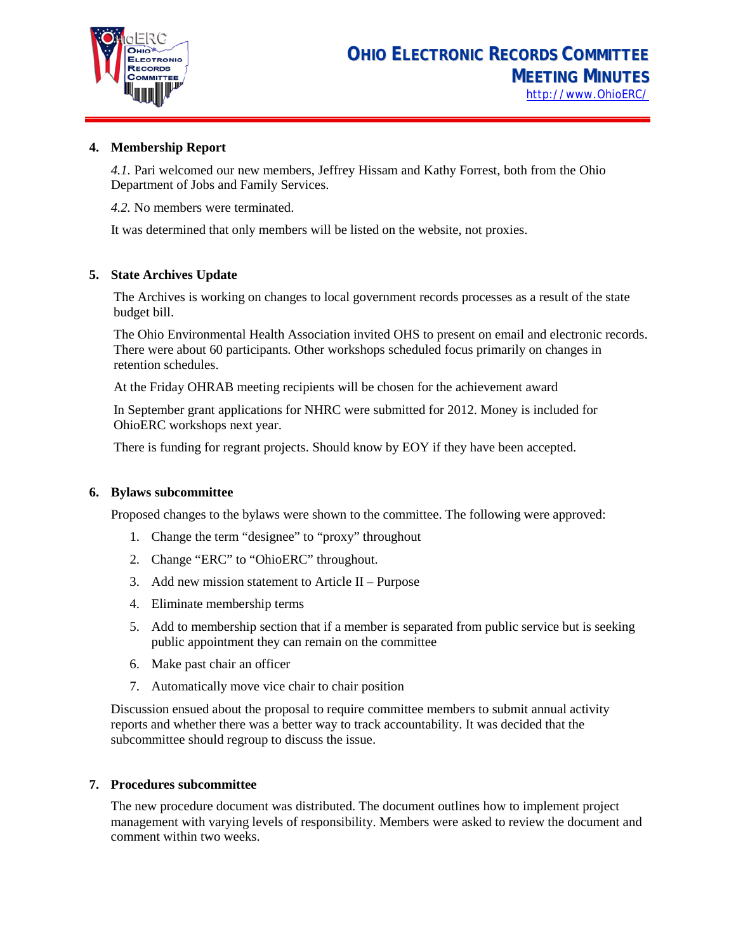

# **4. Membership Report**

*4.1.* Pari welcomed our new members, Jeffrey Hissam and Kathy Forrest, both from the Ohio Department of Jobs and Family Services.

*4.2.* No members were terminated.

It was determined that only members will be listed on the website, not proxies.

# **5. State Archives Update**

The Archives is working on changes to local government records processes as a result of the state budget bill.

The Ohio Environmental Health Association invited OHS to present on email and electronic records. There were about 60 participants. Other workshops scheduled focus primarily on changes in retention schedules.

At the Friday OHRAB meeting recipients will be chosen for the achievement award

In September grant applications for NHRC were submitted for 2012. Money is included for OhioERC workshops next year.

There is funding for regrant projects. Should know by EOY if they have been accepted.

#### **6. Bylaws subcommittee**

Proposed changes to the bylaws were shown to the committee. The following were approved:

- 1. Change the term "designee" to "proxy" throughout
- 2. Change "ERC" to "OhioERC" throughout.
- 3. Add new mission statement to Article II Purpose
- 4. Eliminate membership terms
- 5. Add to membership section that if a member is separated from public service but is seeking public appointment they can remain on the committee
- 6. Make past chair an officer
- 7. Automatically move vice chair to chair position

Discussion ensued about the proposal to require committee members to submit annual activity reports and whether there was a better way to track accountability. It was decided that the subcommittee should regroup to discuss the issue.

#### **7. Procedures subcommittee**

The new procedure document was distributed. The document outlines how to implement project management with varying levels of responsibility. Members were asked to review the document and comment within two weeks.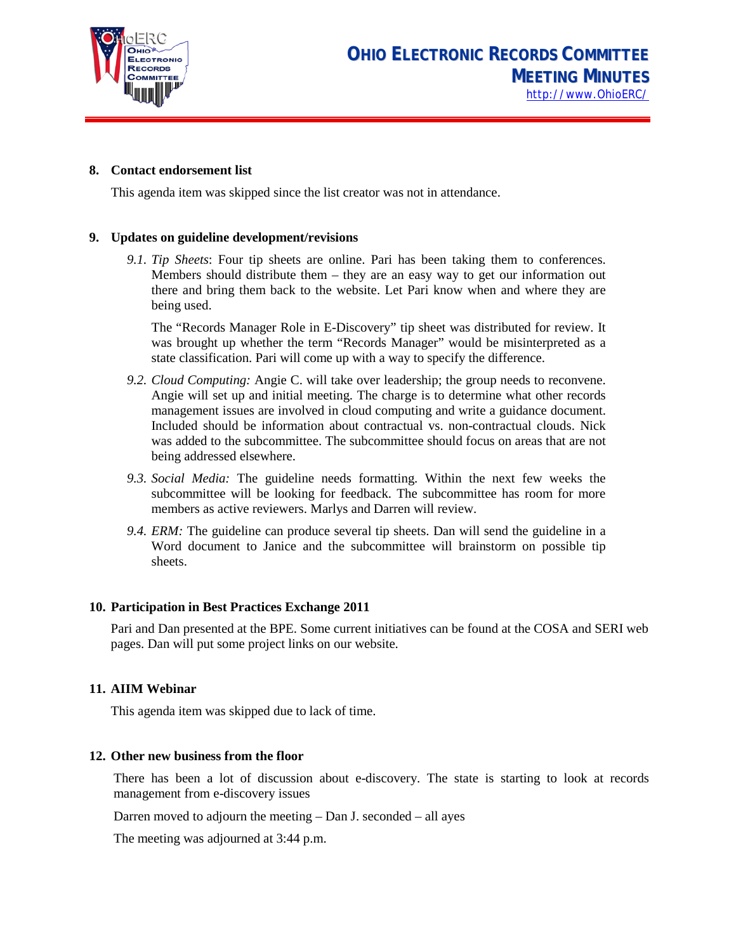

## **8. Contact endorsement list**

This agenda item was skipped since the list creator was not in attendance.

## **9. Updates on guideline development/revisions**

*9.1. Tip Sheets*: Four tip sheets are online. Pari has been taking them to conferences. Members should distribute them – they are an easy way to get our information out there and bring them back to the website. Let Pari know when and where they are being used.

The "Records Manager Role in E-Discovery" tip sheet was distributed for review. It was brought up whether the term "Records Manager" would be misinterpreted as a state classification. Pari will come up with a way to specify the difference.

- *9.2. Cloud Computing:* Angie C. will take over leadership; the group needs to reconvene. Angie will set up and initial meeting. The charge is to determine what other records management issues are involved in cloud computing and write a guidance document. Included should be information about contractual vs. non-contractual clouds. Nick was added to the subcommittee. The subcommittee should focus on areas that are not being addressed elsewhere.
- *9.3. Social Media:* The guideline needs formatting. Within the next few weeks the subcommittee will be looking for feedback. The subcommittee has room for more members as active reviewers. Marlys and Darren will review.
- *9.4. ERM:* The guideline can produce several tip sheets. Dan will send the guideline in a Word document to Janice and the subcommittee will brainstorm on possible tip sheets.

# **10. Participation in Best Practices Exchange 2011**

Pari and Dan presented at the BPE. Some current initiatives can be found at the COSA and SERI web pages. Dan will put some project links on our website.

#### **11. AIIM Webinar**

This agenda item was skipped due to lack of time.

# **12. Other new business from the floor**

There has been a lot of discussion about e-discovery. The state is starting to look at records management from e-discovery issues

Darren moved to adjourn the meeting – Dan J. seconded – all ayes

The meeting was adjourned at 3:44 p.m.